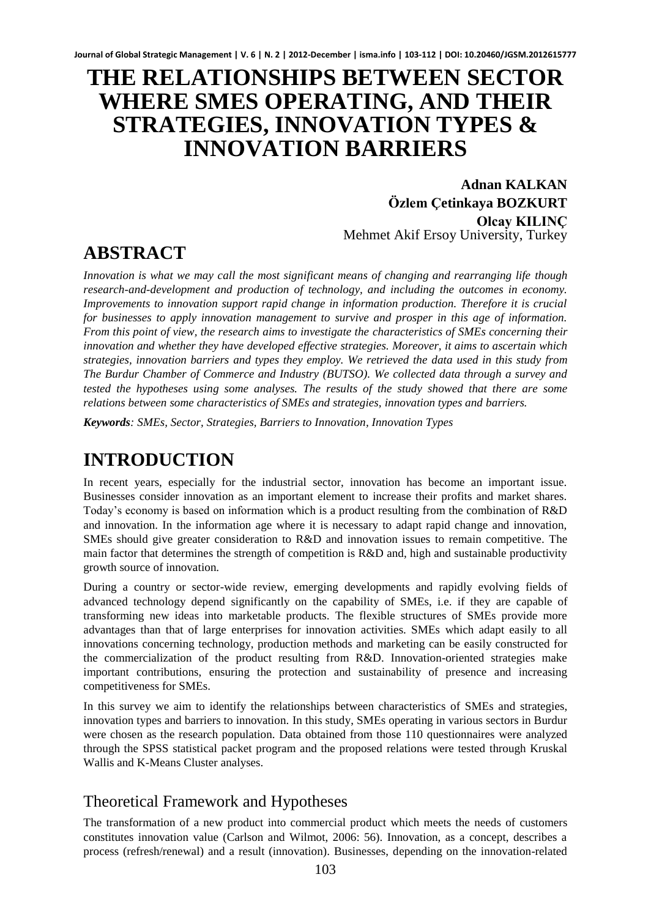# **THE RELATIONSHIPS BETWEEN SECTOR WHERE SMES OPERATING, AND THEIR STRATEGIES, INNOVATION TYPES & INNOVATION BARRIERS**

**Adnan KALKAN Özlem Çetinkaya BOZKURT Olcay KILINÇ** Mehmet Akif Ersoy University, Turkey

# **ABSTRACT**

*Innovation is what we may call the most significant means of changing and rearranging life though research-and-development and production of technology, and including the outcomes in economy. Improvements to innovation support rapid change in information production. Therefore it is crucial for businesses to apply innovation management to survive and prosper in this age of information. From this point of view, the research aims to investigate the characteristics of SMEs concerning their innovation and whether they have developed effective strategies. Moreover, it aims to ascertain which strategies, innovation barriers and types they employ. We retrieved the data used in this study from The Burdur Chamber of Commerce and Industry (BUTSO). We collected data through a survey and tested the hypotheses using some analyses. The results of the study showed that there are some relations between some characteristics of SMEs and strategies, innovation types and barriers.* 

*Keywords: SMEs, Sector, Strategies, Barriers to Innovation, Innovation Types* 

# **INTRODUCTION**

In recent years, especially for the industrial sector, innovation has become an important issue. Businesses consider innovation as an important element to increase their profits and market shares. Today's economy is based on information which is a product resulting from the combination of R&D and innovation. In the information age where it is necessary to adapt rapid change and innovation, SMEs should give greater consideration to R&D and innovation issues to remain competitive. The main factor that determines the strength of competition is R&D and, high and sustainable productivity growth source of innovation.

During a country or sector-wide review, emerging developments and rapidly evolving fields of advanced technology depend significantly on the capability of SMEs, i.e. if they are capable of transforming new ideas into marketable products. The flexible structures of SMEs provide more advantages than that of large enterprises for innovation activities. SMEs which adapt easily to all innovations concerning technology, production methods and marketing can be easily constructed for the commercialization of the product resulting from R&D. Innovation-oriented strategies make important contributions, ensuring the protection and sustainability of presence and increasing competitiveness for SMEs.

In this survey we aim to identify the relationships between characteristics of SMEs and strategies, innovation types and barriers to innovation. In this study, SMEs operating in various sectors in Burdur were chosen as the research population. Data obtained from those 110 questionnaires were analyzed through the SPSS statistical packet program and the proposed relations were tested through Kruskal Wallis and K-Means Cluster analyses.

# Theoretical Framework and Hypotheses

The transformation of a new product into commercial product which meets the needs of customers constitutes innovation value (Carlson and Wilmot, 2006: 56). Innovation, as a concept, describes a process (refresh/renewal) and a result (innovation). Businesses, depending on the innovation-related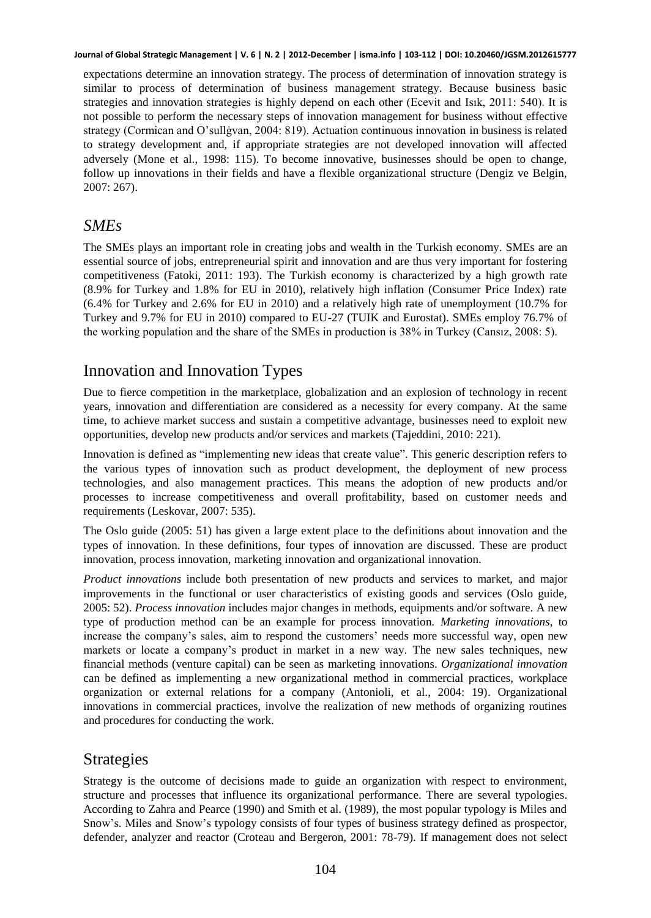expectations determine an innovation strategy. The process of determination of innovation strategy is similar to process of determination of business management strategy. Because business basic strategies and innovation strategies is highly depend on each other (Ecevit and Isık, 2011: 540). It is not possible to perform the necessary steps of innovation management for business without effective strategy (Cormican and O'sullġvan, 2004: 819). Actuation continuous innovation in business is related to strategy development and, if appropriate strategies are not developed innovation will affected adversely (Mone et al., 1998: 115). To become innovative, businesses should be open to change, follow up innovations in their fields and have a flexible organizational structure (Dengiz ve Belgin, 2007: 267).

## *SMEs*

The SMEs plays an important role in creating jobs and wealth in the Turkish economy. SMEs are an essential source of jobs, entrepreneurial spirit and innovation and are thus very important for fostering competitiveness (Fatoki, 2011: 193). The Turkish economy is characterized by a high growth rate (8.9% for Turkey and 1.8% for EU in 2010), relatively high inflation (Consumer Price Index) rate (6.4% for Turkey and 2.6% for EU in 2010) and a relatively high rate of unemployment (10.7% for Turkey and 9.7% for EU in 2010) compared to EU-27 (TUIK and Eurostat). SMEs employ 76.7% of the working population and the share of the SMEs in production is 38% in Turkey (Cansız, 2008: 5).

# Innovation and Innovation Types

Due to fierce competition in the marketplace, globalization and an explosion of technology in recent years, innovation and differentiation are considered as a necessity for every company. At the same time, to achieve market success and sustain a competitive advantage, businesses need to exploit new opportunities, develop new products and/or services and markets (Tajeddini, 2010: 221).

Innovation is defined as "implementing new ideas that create value". This generic description refers to the various types of innovation such as product development, the deployment of new process technologies, and also management practices. This means the adoption of new products and/or processes to increase competitiveness and overall profitability, based on customer needs and requirements (Leskovar, 2007: 535).

The Oslo guide (2005: 51) has given a large extent place to the definitions about innovation and the types of innovation. In these definitions, four types of innovation are discussed. These are product innovation, process innovation, marketing innovation and organizational innovation.

*Product innovations* include both presentation of new products and services to market, and major improvements in the functional or user characteristics of existing goods and services (Oslo guide, 2005: 52). *Process innovation* includes major changes in methods, equipments and/or software. A new type of production method can be an example for process innovation. *Marketing innovations*, to increase the company's sales, aim to respond the customers' needs more successful way, open new markets or locate a company's product in market in a new way. The new sales techniques, new financial methods (venture capital) can be seen as marketing innovations. *Organizational innovation* can be defined as implementing a new organizational method in commercial practices, workplace organization or external relations for a company (Antonioli, et al., 2004: 19). Organizational innovations in commercial practices, involve the realization of new methods of organizing routines and procedures for conducting the work.

# Strategies

Strategy is the outcome of decisions made to guide an organization with respect to environment, structure and processes that influence its organizational performance. There are several typologies. According to Zahra and Pearce (1990) and Smith et al. (1989), the most popular typology is Miles and Snow's. Miles and Snow's typology consists of four types of business strategy defined as prospector, defender, analyzer and reactor (Croteau and Bergeron, 2001: 78-79). If management does not select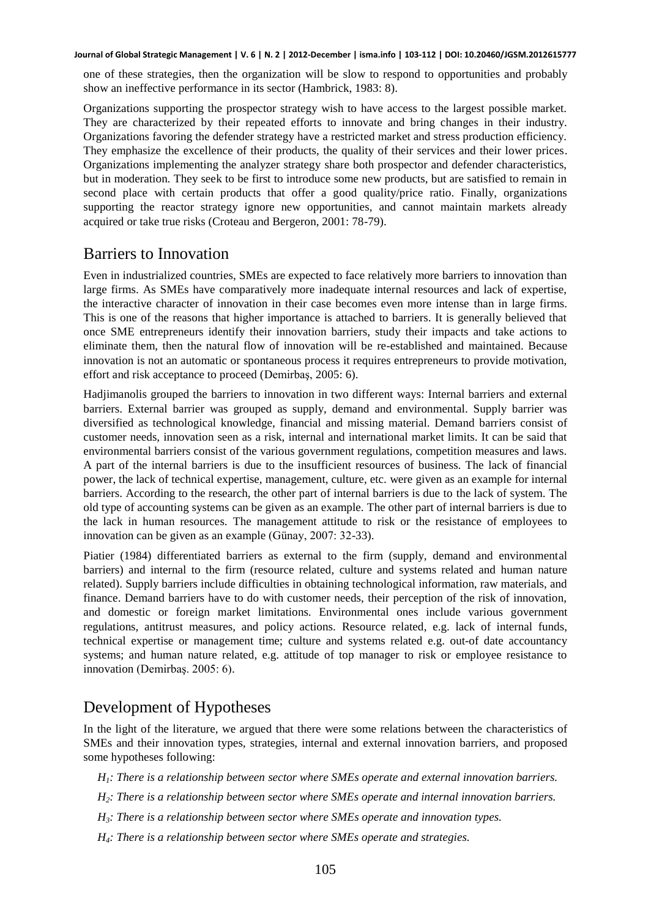one of these strategies, then the organization will be slow to respond to opportunities and probably show an ineffective performance in its sector (Hambrick, 1983: 8).

Organizations supporting the prospector strategy wish to have access to the largest possible market. They are characterized by their repeated efforts to innovate and bring changes in their industry. Organizations favoring the defender strategy have a restricted market and stress production efficiency. They emphasize the excellence of their products, the quality of their services and their lower prices. Organizations implementing the analyzer strategy share both prospector and defender characteristics, but in moderation. They seek to be first to introduce some new products, but are satisfied to remain in second place with certain products that offer a good quality/price ratio. Finally, organizations supporting the reactor strategy ignore new opportunities, and cannot maintain markets already acquired or take true risks (Croteau and Bergeron, 2001: 78-79).

## Barriers to Innovation

Even in industrialized countries, SMEs are expected to face relatively more barriers to innovation than large firms. As SMEs have comparatively more inadequate internal resources and lack of expertise, the interactive character of innovation in their case becomes even more intense than in large firms. This is one of the reasons that higher importance is attached to barriers. It is generally believed that once SME entrepreneurs identify their innovation barriers, study their impacts and take actions to eliminate them, then the natural flow of innovation will be re-established and maintained. Because innovation is not an automatic or spontaneous process it requires entrepreneurs to provide motivation, effort and risk acceptance to proceed (Demirbaş, 2005: 6).

Hadjimanolis grouped the barriers to innovation in two different ways: Internal barriers and external barriers. External barrier was grouped as supply, demand and environmental. Supply barrier was diversified as technological knowledge, financial and missing material. Demand barriers consist of customer needs, innovation seen as a risk, internal and international market limits. It can be said that environmental barriers consist of the various government regulations, competition measures and laws. A part of the internal barriers is due to the insufficient resources of business. The lack of financial power, the lack of technical expertise, management, culture, etc. were given as an example for internal barriers. According to the research, the other part of internal barriers is due to the lack of system. The old type of accounting systems can be given as an example. The other part of internal barriers is due to the lack in human resources. The management attitude to risk or the resistance of employees to innovation can be given as an example (Günay, 2007: 32-33).

Piatier (1984) differentiated barriers as external to the firm (supply, demand and environmental barriers) and internal to the firm (resource related, culture and systems related and human nature related). Supply barriers include difficulties in obtaining technological information, raw materials, and finance. Demand barriers have to do with customer needs, their perception of the risk of innovation, and domestic or foreign market limitations. Environmental ones include various government regulations, antitrust measures, and policy actions. Resource related, e.g. lack of internal funds, technical expertise or management time; culture and systems related e.g. out-of date accountancy systems; and human nature related, e.g. attitude of top manager to risk or employee resistance to innovation (Demirbaş. 2005: 6).

### Development of Hypotheses

In the light of the literature, we argued that there were some relations between the characteristics of SMEs and their innovation types, strategies, internal and external innovation barriers, and proposed some hypotheses following:

- *H1: There is a relationship between sector where SMEs operate and external innovation barriers.*
- *H2: There is a relationship between sector where SMEs operate and internal innovation barriers.*
- *H3: There is a relationship between sector where SMEs operate and innovation types.*
- *H4: There is a relationship between sector where SMEs operate and strategies.*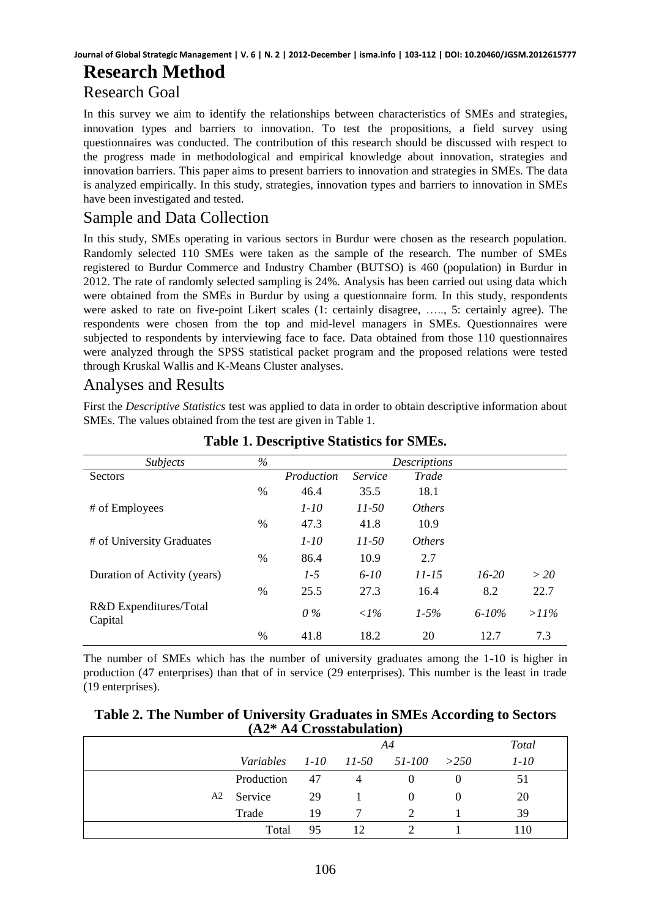# **Research Method**

# Research Goal

In this survey we aim to identify the relationships between characteristics of SMEs and strategies, innovation types and barriers to innovation. To test the propositions, a field survey using questionnaires was conducted. The contribution of this research should be discussed with respect to the progress made in methodological and empirical knowledge about innovation, strategies and innovation barriers. This paper aims to present barriers to innovation and strategies in SMEs. The data is analyzed empirically. In this study, strategies, innovation types and barriers to innovation in SMEs have been investigated and tested.

# Sample and Data Collection

In this study, SMEs operating in various sectors in Burdur were chosen as the research population. Randomly selected 110 SMEs were taken as the sample of the research. The number of SMEs registered to Burdur Commerce and Industry Chamber (BUTSO) is 460 (population) in Burdur in 2012. The rate of randomly selected sampling is 24%. Analysis has been carried out using data which were obtained from the SMEs in Burdur by using a questionnaire form. In this study, respondents were asked to rate on five-point Likert scales (1: certainly disagree, ….., 5: certainly agree). The respondents were chosen from the top and mid-level managers in SMEs. Questionnaires were subjected to respondents by interviewing face to face. Data obtained from those 110 questionnaires were analyzed through the SPSS statistical packet program and the proposed relations were tested through Kruskal Wallis and K-Means Cluster analyses.

## Analyses and Results

First the *Descriptive Statistics* test was applied to data in order to obtain descriptive information about SMEs. The values obtained from the test are given in Table 1.

| <i>Subjects</i>                   | $\%$ | Descriptions |              |               |            |         |
|-----------------------------------|------|--------------|--------------|---------------|------------|---------|
| <b>Sectors</b>                    |      | Production   | Service      | Trade         |            |         |
|                                   | $\%$ | 46.4         | 35.5         | 18.1          |            |         |
| # of Employees                    |      | $1 - 10$     | $11 - 50$    | <i>Others</i> |            |         |
|                                   | $\%$ | 47.3         | 41.8         | 10.9          |            |         |
| # of University Graduates         |      | $1 - 10$     | $11 - 50$    | <i>Others</i> |            |         |
|                                   | $\%$ | 86.4         | 10.9         | 2.7           |            |         |
| Duration of Activity (years)      |      | $1 - 5$      | $6 - 10$     | $11 - 15$     | $16-20$    | $>$ 20  |
|                                   | $\%$ | 25.5         | 27.3         | 16.4          | 8.2        | 22.7    |
| R&D Expenditures/Total<br>Capital |      | $0\%$        | $\langle$ 1% | $1 - 5\%$     | $6 - 10\%$ | $>11\%$ |
|                                   | $\%$ | 41.8         | 18.2         | 20            | 12.7       | 7.3     |

**Table 1. Descriptive Statistics for SMEs.** 

The number of SMEs which has the number of university graduates among the 1-10 is higher in production (47 enterprises) than that of in service (29 enterprises). This number is the least in trade (19 enterprises).

### **Table 2. The Number of University Graduates in SMEs According to Sectors (A2\* A4 Crosstabulation)**

|                                          | A4 |    |  |  |          |
|------------------------------------------|----|----|--|--|----------|
| Variables $1-10$ $11-50$ $51-100$ $>250$ |    |    |  |  | $1 - 10$ |
| Production                               | 47 | 4  |  |  | 51       |
| A <sub>2</sub> Service                   | 29 |    |  |  | 20       |
| Trade                                    | 19 | 7  |  |  | 39       |
| Total                                    | 95 | 12 |  |  | 110      |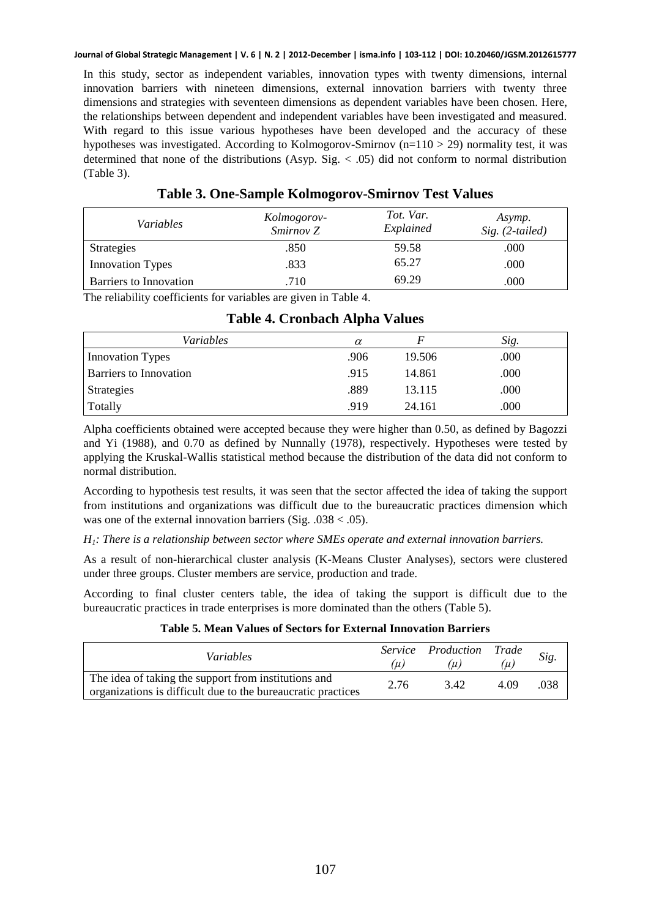In this study, sector as independent variables, innovation types with twenty dimensions, internal innovation barriers with nineteen dimensions, external innovation barriers with twenty three dimensions and strategies with seventeen dimensions as dependent variables have been chosen. Here, the relationships between dependent and independent variables have been investigated and measured. With regard to this issue various hypotheses have been developed and the accuracy of these hypotheses was investigated. According to Kolmogorov-Smirnov ( $n=110 > 29$ ) normality test, it was determined that none of the distributions (Asyp. Sig.  $< .05$ ) did not conform to normal distribution (Table 3).

| <i>Variables</i>        | Kolmogorov-<br>Smirnov Z | Tot. Var.<br>Explained | Asymp.<br>$Sig. (2-tailed)$ |
|-------------------------|--------------------------|------------------------|-----------------------------|
| <b>Strategies</b>       | .850                     | 59.58                  | .000                        |
| <b>Innovation Types</b> | .833                     | 65.27                  | .000                        |
| Barriers to Innovation  | .710                     | 69.29                  | .000                        |

#### **Table 3. One-Sample Kolmogorov-Smirnov Test Values**

The reliability coefficients for variables are given in Table 4.

|  | Table 4. Cronbach Alpha Values |  |  |
|--|--------------------------------|--|--|
|--|--------------------------------|--|--|

| <i>Variables</i>              | $\alpha$ |        | Sig. |
|-------------------------------|----------|--------|------|
| <b>Innovation Types</b>       | .906     | 19.506 | .000 |
| <b>Barriers to Innovation</b> | .915     | 14.861 | .000 |
| Strategies                    | .889     | 13.115 | .000 |
| Totally                       | .919     | 24.161 | .000 |

Alpha coefficients obtained were accepted because they were higher than 0.50, as defined by Bagozzi and Yi (1988), and 0.70 as defined by Nunnally (1978), respectively. Hypotheses were tested by applying the Kruskal-Wallis statistical method because the distribution of the data did not conform to normal distribution.

According to hypothesis test results, it was seen that the sector affected the idea of taking the support from institutions and organizations was difficult due to the bureaucratic practices dimension which was one of the external innovation barriers (Sig.  $.038 < .05$ ).

#### *H1: There is a relationship between sector where SMEs operate and external innovation barriers.*

As a result of non-hierarchical cluster analysis (K-Means Cluster Analyses), sectors were clustered under three groups. Cluster members are service, production and trade.

According to final cluster centers table, the idea of taking the support is difficult due to the bureaucratic practices in trade enterprises is more dominated than the others (Table 5).

#### **Table 5. Mean Values of Sectors for External Innovation Barriers**

| <i>Variables</i>                                                                                                     | $\mu$ | Service Production Trade<br>$\mu$ | $\mu$ | Sig. |
|----------------------------------------------------------------------------------------------------------------------|-------|-----------------------------------|-------|------|
| The idea of taking the support from institutions and<br>organizations is difficult due to the bureaucratic practices | 2.76  | 342                               | 4.09  | .038 |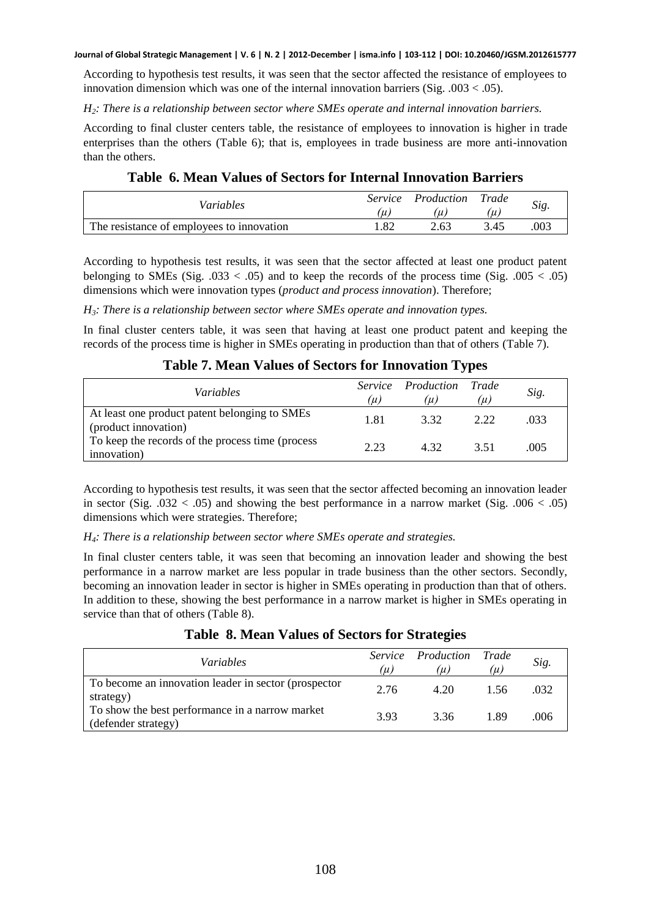According to hypothesis test results, it was seen that the sector affected the resistance of employees to innovation dimension which was one of the internal innovation barriers (Sig.  $.003 < .05$ ).

*H2: There is a relationship between sector where SMEs operate and internal innovation barriers.* 

According to final cluster centers table, the resistance of employees to innovation is higher in trade enterprises than the others (Table 6); that is, employees in trade business are more anti-innovation than the others.

|  |  |  |  |  | <b>Table 6. Mean Values of Sectors for Internal Innovation Barriers</b> |  |
|--|--|--|--|--|-------------------------------------------------------------------------|--|
|--|--|--|--|--|-------------------------------------------------------------------------|--|

| Variables                                 | <i>Service</i><br>$\mu$ | Production | Trade<br>i u i | Sig. |
|-------------------------------------------|-------------------------|------------|----------------|------|
| The resistance of employees to innovation | .82                     | 2.63       | 3.45           | .003 |

According to hypothesis test results, it was seen that the sector affected at least one product patent belonging to SMEs (Sig.  $.033 < .05$ ) and to keep the records of the process time (Sig.  $.005 < .05$ ) dimensions which were innovation types (*product and process innovation*). Therefore;

*H3: There is a relationship between sector where SMEs operate and innovation types.* 

In final cluster centers table, it was seen that having at least one product patent and keeping the records of the process time is higher in SMEs operating in production than that of others (Table 7).

### **Table 7. Mean Values of Sectors for Innovation Types**

| <i>Variables</i>                                                      | (µ)  | <i>Service Production Trade</i><br>(µ) | (µ)  | Sig. |
|-----------------------------------------------------------------------|------|----------------------------------------|------|------|
| At least one product patent belonging to SMEs<br>(product innovation) | 1.81 | 3.32                                   | 2.22 | .033 |
| To keep the records of the process time (process<br>innovation)       | 2.23 | 432                                    | 3.51 | .005 |

According to hypothesis test results, it was seen that the sector affected becoming an innovation leader in sector (Sig.  $.032 < .05$ ) and showing the best performance in a narrow market (Sig.  $.006 < .05$ ) dimensions which were strategies. Therefore;

*H4: There is a relationship between sector where SMEs operate and strategies.* 

In final cluster centers table, it was seen that becoming an innovation leader and showing the best performance in a narrow market are less popular in trade business than the other sectors. Secondly, becoming an innovation leader in sector is higher in SMEs operating in production than that of others. In addition to these, showing the best performance in a narrow market is higher in SMEs operating in service than that of others (Table 8).

| <i>Variables</i>                                                       | $(\mu)$ | Service Production Trade<br>(µ) | $(\mu)$ | Sig. |
|------------------------------------------------------------------------|---------|---------------------------------|---------|------|
| To become an innovation leader in sector (prospector<br>strategy)      | 2.76    | 4.20                            | 1.56    | .032 |
| To show the best performance in a narrow market<br>(defender strategy) | 3.93    | 3.36                            | 189     | .006 |

#### **Table 8. Mean Values of Sectors for Strategies**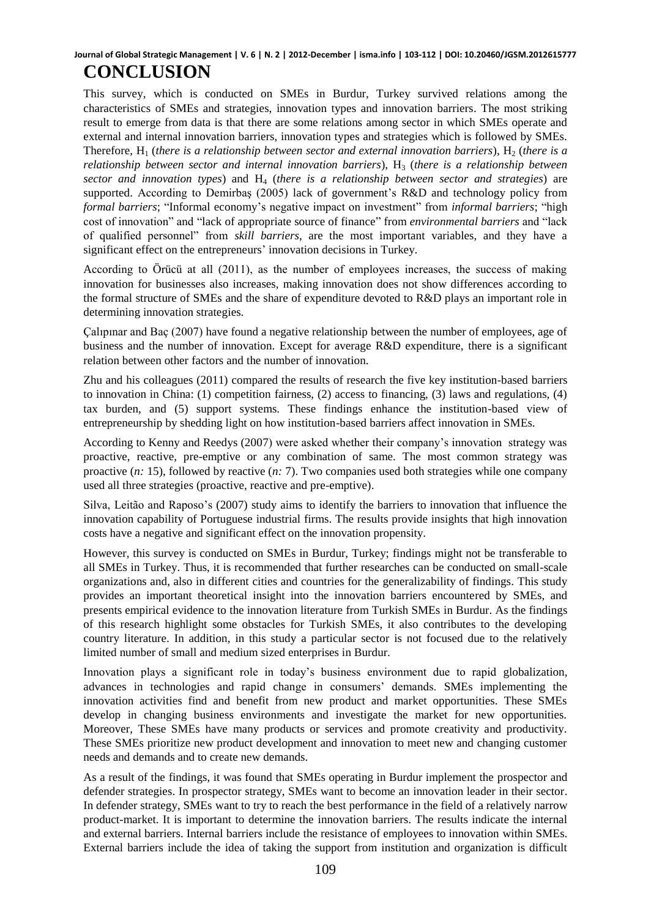This survey, which is conducted on SMEs in Burdur, Turkey survived relations among the characteristics of SMEs and strategies, innovation types and innovation barriers. The most striking result to emerge from data is that there are some relations among sector in which SMEs operate and external and internal innovation barriers, innovation types and strategies which is followed by SMEs. Therefore,  $H_1$  (*there is a relationship between sector and external innovation barriers*),  $H_2$  (*there is a relationship between sector and internal innovation barriers*), H<sub>3</sub> (*there is a relationship between sector and innovation types*) and H4 (*there is a relationship between sector and strategies*) are supported. According to Demirbaş (2005) lack of government's R&D and technology policy from *formal barriers*; "Informal economy's negative impact on investment" from *informal barriers*; "high cost of innovation" and "lack of appropriate source of finance" from *environmental barriers* and "lack of qualified personnel" from *skill barriers*, are the most important variables, and they have a significant effect on the entrepreneurs' innovation decisions in Turkey.

According to Örücü at all (2011), as the number of employees increases, the success of making innovation for businesses also increases, making innovation does not show differences according to the formal structure of SMEs and the share of expenditure devoted to R&D plays an important role in determining innovation strategies.

Çalıpınar and Baç (2007) have found a negative relationship between the number of employees, age of business and the number of innovation. Except for average R&D expenditure, there is a significant relation between other factors and the number of innovation.

Zhu and his colleagues (2011) compared the results of research the five key institution-based barriers to innovation in China: (1) competition fairness, (2) access to financing, (3) laws and regulations, (4) tax burden, and (5) support systems. These findings enhance the institution-based view of entrepreneurship by shedding light on how institution-based barriers affect innovation in SMEs.

According to Kenny and Reedys (2007) were asked whether their company's innovation strategy was proactive, reactive, pre-emptive or any combination of same. The most common strategy was proactive (*n:* 15), followed by reactive (*n:* 7). Two companies used both strategies while one company used all three strategies (proactive, reactive and pre-emptive).

Silva, Leitão and Raposo's (2007) study aims to identify the barriers to innovation that influence the innovation capability of Portuguese industrial firms. The results provide insights that high innovation costs have a negative and significant effect on the innovation propensity.

However, this survey is conducted on SMEs in Burdur, Turkey; findings might not be transferable to all SMEs in Turkey. Thus, it is recommended that further researches can be conducted on small-scale organizations and, also in different cities and countries for the generalizability of findings. This study provides an important theoretical insight into the innovation barriers encountered by SMEs, and presents empirical evidence to the innovation literature from Turkish SMEs in Burdur. As the findings of this research highlight some obstacles for Turkish SMEs, it also contributes to the developing country literature. In addition, in this study a particular sector is not focused due to the relatively limited number of small and medium sized enterprises in Burdur.

Innovation plays a significant role in today's business environment due to rapid globalization, advances in technologies and rapid change in consumers' demands. SMEs implementing the innovation activities find and benefit from new product and market opportunities. These SMEs develop in changing business environments and investigate the market for new opportunities. Moreover, These SMEs have many products or services and promote creativity and productivity. These SMEs prioritize new product development and innovation to meet new and changing customer needs and demands and to create new demands.

As a result of the findings, it was found that SMEs operating in Burdur implement the prospector and defender strategies. In prospector strategy, SMEs want to become an innovation leader in their sector. In defender strategy, SMEs want to try to reach the best performance in the field of a relatively narrow product-market. It is important to determine the innovation barriers. The results indicate the internal and external barriers. Internal barriers include the resistance of employees to innovation within SMEs. External barriers include the idea of taking the support from institution and organization is difficult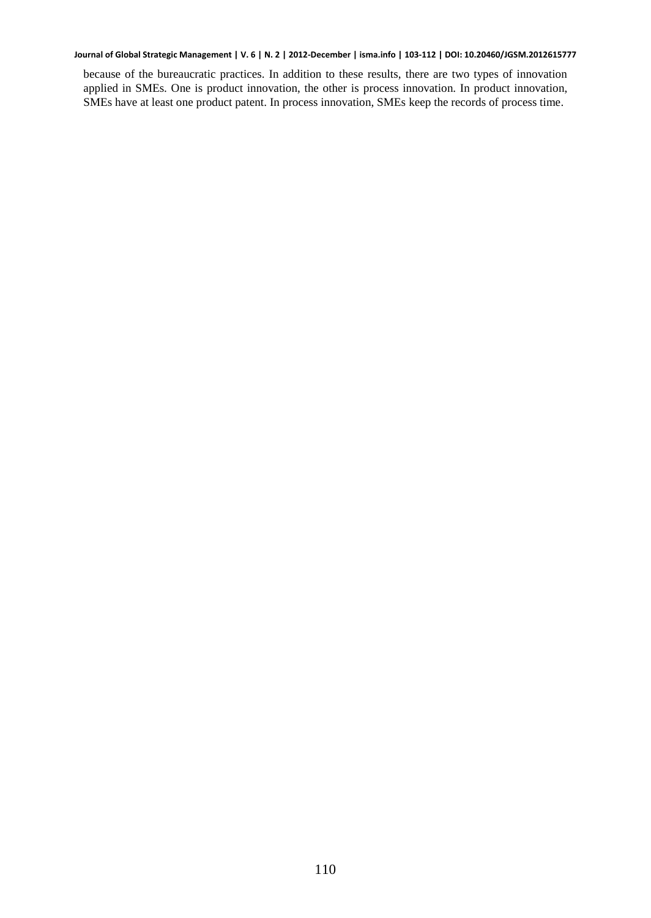because of the bureaucratic practices. In addition to these results, there are two types of innovation applied in SMEs. One is product innovation, the other is process innovation. In product innovation, SMEs have at least one product patent. In process innovation, SMEs keep the records of process time.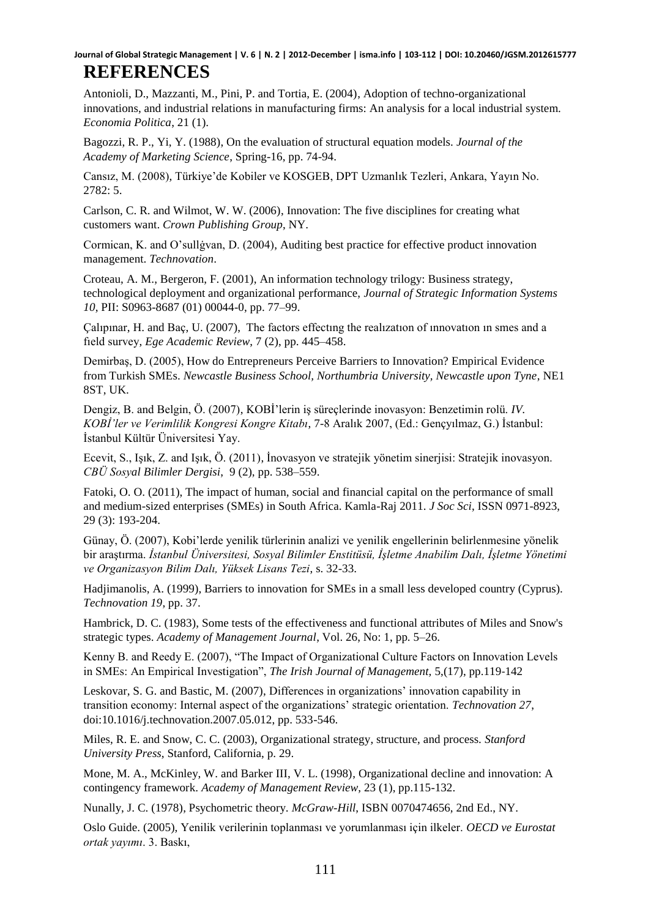Antonioli, D., Mazzanti, M., Pini, P. and Tortia, E. (2004), Adoption of techno-organizational innovations, and industrial relations in manufacturing firms: An analysis for a local industrial system. *Economia Politica*, 21 (1).

Bagozzi, R. P., Yi, Y. (1988), On the evaluation of structural equation models. *Journal of the Academy of Marketing Science*, Spring-16, pp. 74-94.

Cansız, M. (2008), Türkiye'de Kobiler ve KOSGEB, DPT Uzmanlık Tezleri, Ankara, Yayın No. 2782: 5.

Carlson, C. R. and Wilmot, W. W. (2006), Innovation: The five disciplines for creating what customers want. *Crown Publishing Group*, NY.

Cormican, K. and O'sullġvan, D. (2004), Auditing best practice for effective product innovation management. *Technovation*.

Croteau, A. M., Bergeron, F. (2001), An information technology trilogy: Business strategy, technological deployment and organizational performance, *Journal of Strategic Information Systems 10*, PII: S0963-8687 (01) 00044-0, pp. 77–99.

Çalıpınar, H. and Baç, U. (2007), The factors effectıng the realızatıon of ınnovatıon ın smes and a fıeld survey, *Ege Academic Review*, 7 (2), pp. 445–458.

Demirbaş, D. (2005), How do Entrepreneurs Perceive Barriers to Innovation? Empirical Evidence from Turkish SMEs. *Newcastle Business School, Northumbria University, Newcastle upon Tyne*, NE1 8ST, UK.

Dengiz, B. and Belgin, Ö. (2007), KOBİ'lerin iş süreçlerinde inovasyon: Benzetimin rolü. *IV. KOBİ'ler ve Verimlilik Kongresi Kongre Kitabı*, 7-8 Aralık 2007, (Ed.: Gençyılmaz, G.) İstanbul: İstanbul Kültür Üniversitesi Yay.

Ecevit, S., Işık, Z. and Işık, Ö. (2011), İnovasyon ve stratejik yönetim sinerjisi: Stratejik inovasyon. *CBÜ Sosyal Bilimler Dergisi*, 9 (2), pp. 538–559.

Fatoki, O. O. (2011), The impact of human, social and financial capital on the performance of small and medium-sized enterprises (SMEs) in South Africa. Kamla-Raj 2011. *J Soc Sci*, ISSN 0971-8923, 29 (3): 193-204.

Günay, Ö. (2007), Kobi'lerde yenilik türlerinin analizi ve yenilik engellerinin belirlenmesine yönelik bir araştırma. *İstanbul Üniversitesi, Sosyal Bilimler Enstitüsü, İşletme Anabilim Dalı, İşletme Yönetimi ve Organizasyon Bilim Dalı, Yüksek Lisans Tezi*, s. 32-33.

Hadjimanolis, A. (1999), Barriers to innovation for SMEs in a small less developed country (Cyprus). *Technovation 19*, pp. 37.

Hambrick, D. C. (1983), Some tests of the effectiveness and functional attributes of Miles and Snow's strategic types. *Academy of Management Journal*, Vol. 26, No: 1, pp. 5–26.

Kenny B. and Reedy E. (2007), "The Impact of Organizational Culture Factors on Innovation Levels in SMEs: An Empirical Investigation", *The Irish Journal of Management,* 5,(17), pp.119‐142

Leskovar, S. G. and Bastic, M. (2007), Differences in organizations' innovation capability in transition economy: Internal aspect of the organizations' strategic orientation. *Technovation 27*, doi:10.1016/j.technovation.2007.05.012, pp. 533-546.

Miles, R. E. and Snow, C. C. (2003), Organizational strategy, structure, and process. *Stanford University Press*, Stanford, California, p. 29.

Mone, M. A., McKinley, W. and Barker III, V. L. (1998), Organizational decline and innovation: A contingency framework. *Academy of Management Review*, 23 (1), pp.115-132.

Nunally, J. C. (1978), Psychometric theory. *McGraw-Hill*, ISBN 0070474656, 2nd Ed., NY.

Oslo Guide. (2005), Yenilik verilerinin toplanması ve yorumlanması için ilkeler. *OECD ve Eurostat ortak yayımı*. 3. Baskı,